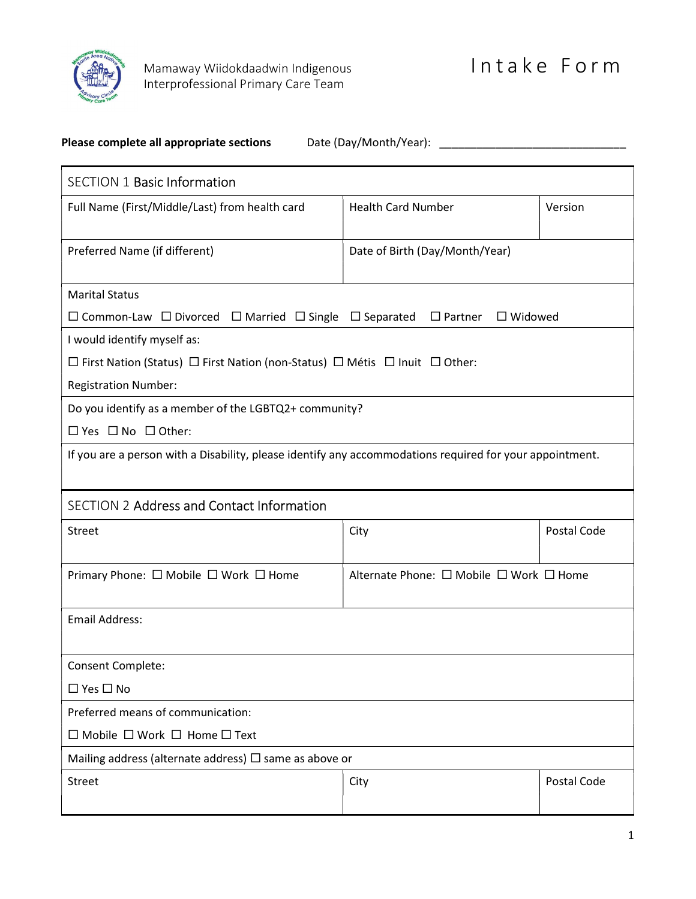

## Please complete all appropriate sections Date (Day/Month/Year): \_\_\_\_\_\_\_\_\_\_\_\_\_\_\_\_\_\_\_\_\_\_\_\_\_\_\_\_\_\_

| <b>SECTION 1 Basic Information</b>                                                                            |                                         |             |
|---------------------------------------------------------------------------------------------------------------|-----------------------------------------|-------------|
| Full Name (First/Middle/Last) from health card                                                                | <b>Health Card Number</b>               | Version     |
|                                                                                                               |                                         |             |
| Preferred Name (if different)                                                                                 | Date of Birth (Day/Month/Year)          |             |
|                                                                                                               |                                         |             |
| <b>Marital Status</b>                                                                                         |                                         |             |
| $\Box$ Common-Law $\Box$ Divorced $\Box$ Married $\Box$ Single $\Box$ Separated $\Box$ Partner $\Box$ Widowed |                                         |             |
| I would identify myself as:                                                                                   |                                         |             |
| $\Box$ First Nation (Status) $\Box$ First Nation (non-Status) $\Box$ Métis $\Box$ Inuit $\Box$ Other:         |                                         |             |
| <b>Registration Number:</b>                                                                                   |                                         |             |
| Do you identify as a member of the LGBTQ2+ community?                                                         |                                         |             |
| $\Box$ Yes $\Box$ No $\Box$ Other:                                                                            |                                         |             |
| If you are a person with a Disability, please identify any accommodations required for your appointment.      |                                         |             |
|                                                                                                               |                                         |             |
| <b>SECTION 2 Address and Contact Information</b>                                                              |                                         |             |
| Street                                                                                                        | City                                    | Postal Code |
|                                                                                                               |                                         |             |
| Primary Phone: □ Mobile □ Work □ Home                                                                         | Alternate Phone: □ Mobile □ Work □ Home |             |
|                                                                                                               |                                         |             |
| <b>Email Address:</b>                                                                                         |                                         |             |
|                                                                                                               |                                         |             |
| Consent Complete:                                                                                             |                                         |             |
| $\Box$ Yes $\Box$ No                                                                                          |                                         |             |
| Preferred means of communication:                                                                             |                                         |             |
| $\Box$ Mobile $\Box$ Work $\Box$ Home $\Box$ Text                                                             |                                         |             |
| Mailing address (alternate address) $\Box$ same as above or                                                   |                                         |             |
| Street                                                                                                        | City                                    | Postal Code |
|                                                                                                               |                                         |             |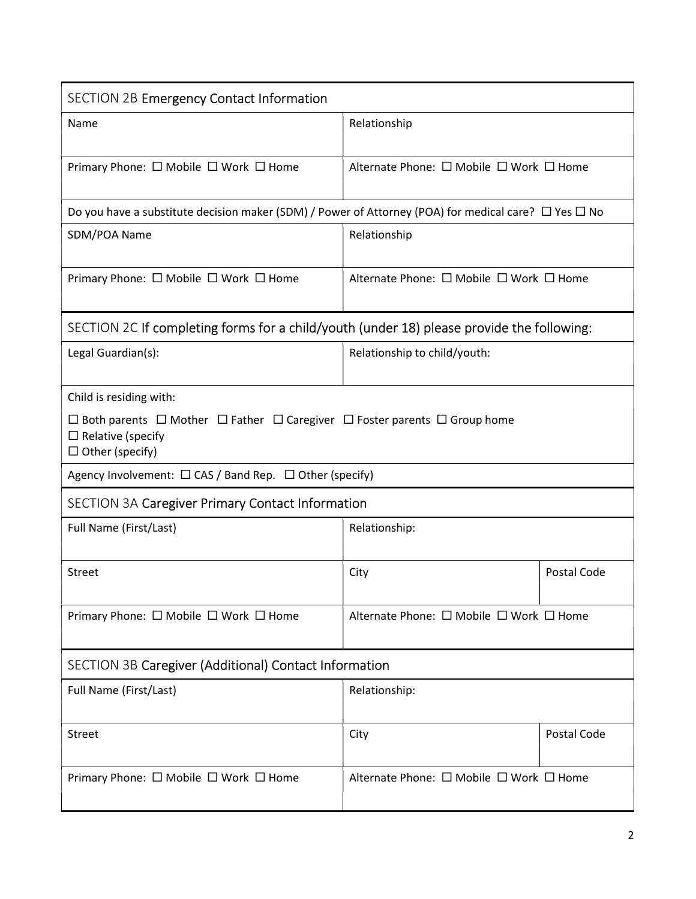| <b>SECTION 2B Emergency Contact Information</b>                                                                                                                |                                         |             |
|----------------------------------------------------------------------------------------------------------------------------------------------------------------|-----------------------------------------|-------------|
| Name                                                                                                                                                           | Relationship                            |             |
| Primary Phone: $\Box$ Mobile $\Box$ Work $\Box$ Home                                                                                                           | Alternate Phone: □ Mobile □ Work □ Home |             |
| Do you have a substitute decision maker (SDM) / Power of Attorney (POA) for medical care? $\Box$ Yes $\Box$ No                                                 |                                         |             |
| SDM/POA Name                                                                                                                                                   | Relationship                            |             |
| Primary Phone: $\Box$ Mobile $\Box$ Work $\Box$ Home                                                                                                           | Alternate Phone: □ Mobile □ Work □ Home |             |
| SECTION 2C If completing forms for a child/youth (under 18) please provide the following:                                                                      |                                         |             |
| Legal Guardian(s):                                                                                                                                             | Relationship to child/youth:            |             |
| Child is residing with:                                                                                                                                        |                                         |             |
| $\Box$ Both parents $\Box$ Mother $\Box$ Father $\Box$ Caregiver $\Box$ Foster parents $\Box$ Group home<br>$\Box$ Relative (specify<br>$\Box$ Other (specify) |                                         |             |
| Agency Involvement: $\Box$ CAS / Band Rep. $\Box$ Other (specify)                                                                                              |                                         |             |
| <b>SECTION 3A Caregiver Primary Contact Information</b>                                                                                                        |                                         |             |
| Full Name (First/Last)                                                                                                                                         | Relationship:                           |             |
| <b>Street</b>                                                                                                                                                  | City                                    | Postal Code |
| Primary Phone: $\Box$ Mobile $\Box$ Work $\Box$ Home                                                                                                           | Alternate Phone: □ Mobile □ Work □ Home |             |
| SECTION 3B Caregiver (Additional) Contact Information                                                                                                          |                                         |             |
| Full Name (First/Last)                                                                                                                                         | Relationship:                           |             |
| <b>Street</b>                                                                                                                                                  | City                                    | Postal Code |
| Primary Phone: □ Mobile □ Work □ Home                                                                                                                          | Alternate Phone: □ Mobile □ Work □ Home |             |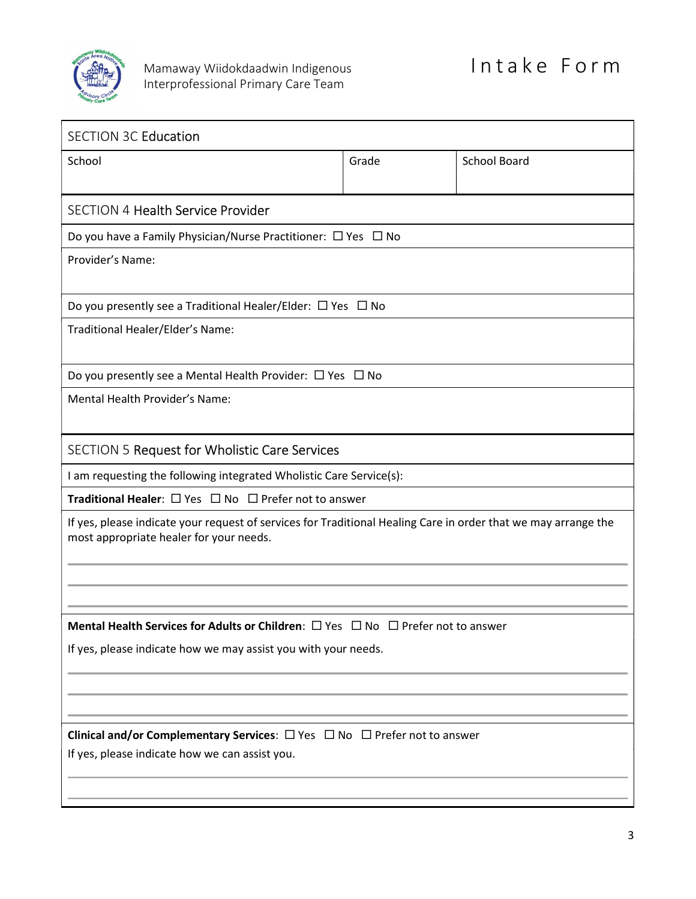

| <b>SECTION 3C Education</b>                                                                                                                               |       |                     |
|-----------------------------------------------------------------------------------------------------------------------------------------------------------|-------|---------------------|
| School                                                                                                                                                    | Grade | <b>School Board</b> |
|                                                                                                                                                           |       |                     |
| <b>SECTION 4 Health Service Provider</b>                                                                                                                  |       |                     |
| Do you have a Family Physician/Nurse Practitioner: $\Box$ Yes $\Box$ No                                                                                   |       |                     |
| Provider's Name:                                                                                                                                          |       |                     |
| Do you presently see a Traditional Healer/Elder: $\Box$ Yes $\Box$ No                                                                                     |       |                     |
| Traditional Healer/Elder's Name:                                                                                                                          |       |                     |
| Do you presently see a Mental Health Provider: $\Box$ Yes $\Box$ No                                                                                       |       |                     |
| Mental Health Provider's Name:                                                                                                                            |       |                     |
| <b>SECTION 5 Request for Wholistic Care Services</b>                                                                                                      |       |                     |
| I am requesting the following integrated Wholistic Care Service(s):                                                                                       |       |                     |
| <b>Traditional Healer:</b> $\Box$ Yes $\Box$ No $\Box$ Prefer not to answer                                                                               |       |                     |
| If yes, please indicate your request of services for Traditional Healing Care in order that we may arrange the<br>most appropriate healer for your needs. |       |                     |
|                                                                                                                                                           |       |                     |
| <b>Mental Health Services for Adults or Children:</b> $\Box$ Yes $\Box$ No $\Box$ Prefer not to answer                                                    |       |                     |
| If yes, please indicate how we may assist you with your needs.                                                                                            |       |                     |
|                                                                                                                                                           |       |                     |
|                                                                                                                                                           |       |                     |
| Clinical and/or Complementary Services: $\Box$ Yes $\Box$ No $\Box$ Prefer not to answer                                                                  |       |                     |
| If yes, please indicate how we can assist you.                                                                                                            |       |                     |
|                                                                                                                                                           |       |                     |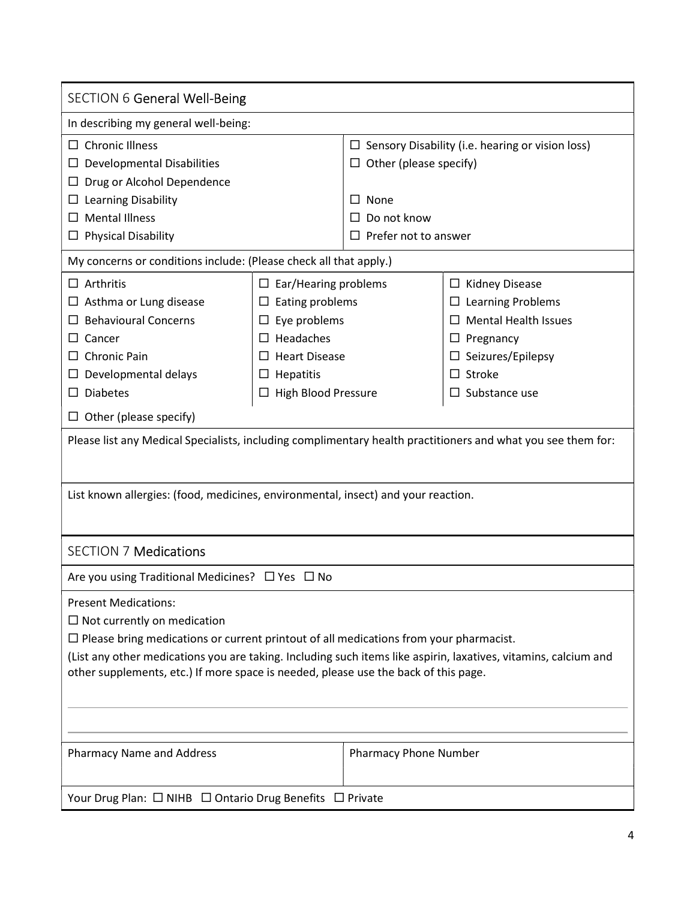| <b>SECTION 6 General Well-Being</b>                                                                                                                                                                                                                                                                                                                                         |                                                                                                                                                                                           |                                                                                                    |                                                                                                                                                                         |
|-----------------------------------------------------------------------------------------------------------------------------------------------------------------------------------------------------------------------------------------------------------------------------------------------------------------------------------------------------------------------------|-------------------------------------------------------------------------------------------------------------------------------------------------------------------------------------------|----------------------------------------------------------------------------------------------------|-------------------------------------------------------------------------------------------------------------------------------------------------------------------------|
| In describing my general well-being:                                                                                                                                                                                                                                                                                                                                        |                                                                                                                                                                                           |                                                                                                    |                                                                                                                                                                         |
| $\Box$ Chronic Illness<br><b>Developmental Disabilities</b><br>Drug or Alcohol Dependence<br>$\Box$ Learning Disability<br><b>Mental Illness</b><br><b>Physical Disability</b>                                                                                                                                                                                              |                                                                                                                                                                                           | $\Box$ Other (please specify)<br>$\Box$ None<br>Do not know<br>$\Box$<br>Prefer not to answer<br>П | $\Box$ Sensory Disability (i.e. hearing or vision loss)                                                                                                                 |
| My concerns or conditions include: (Please check all that apply.)                                                                                                                                                                                                                                                                                                           |                                                                                                                                                                                           |                                                                                                    |                                                                                                                                                                         |
| $\Box$ Arthritis<br>$\Box$ Asthma or Lung disease<br><b>Behavioural Concerns</b><br>Cancer<br><b>Chronic Pain</b><br>Developmental delays<br><b>Diabetes</b><br>Other (please specify)                                                                                                                                                                                      | $\Box$ Ear/Hearing problems<br>Eating problems<br>ப<br>Eye problems<br>$\Box$<br>Headaches<br>$\Box$<br><b>Heart Disease</b><br>$\Box$<br>Hepatitis<br>ப<br>High Blood Pressure<br>$\Box$ |                                                                                                    | $\Box$ Kidney Disease<br>$\Box$ Learning Problems<br><b>Mental Health Issues</b><br>Pregnancy<br>ப<br>$\Box$ Seizures/Epilepsy<br>$\Box$ Stroke<br>$\Box$ Substance use |
| Please list any Medical Specialists, including complimentary health practitioners and what you see them for:                                                                                                                                                                                                                                                                |                                                                                                                                                                                           |                                                                                                    |                                                                                                                                                                         |
| List known allergies: (food, medicines, environmental, insect) and your reaction.                                                                                                                                                                                                                                                                                           |                                                                                                                                                                                           |                                                                                                    |                                                                                                                                                                         |
| <b>SECTION 7 Medications</b>                                                                                                                                                                                                                                                                                                                                                |                                                                                                                                                                                           |                                                                                                    |                                                                                                                                                                         |
| Are you using Traditional Medicines? $\Box$ Yes $\Box$ No                                                                                                                                                                                                                                                                                                                   |                                                                                                                                                                                           |                                                                                                    |                                                                                                                                                                         |
| <b>Present Medications:</b><br>$\Box$ Not currently on medication<br>$\Box$ Please bring medications or current printout of all medications from your pharmacist.<br>(List any other medications you are taking. Including such items like aspirin, laxatives, vitamins, calcium and<br>other supplements, etc.) If more space is needed, please use the back of this page. |                                                                                                                                                                                           |                                                                                                    |                                                                                                                                                                         |
| <b>Pharmacy Name and Address</b>                                                                                                                                                                                                                                                                                                                                            |                                                                                                                                                                                           | Pharmacy Phone Number                                                                              |                                                                                                                                                                         |
| Your Drug Plan: □ NIHB □ Ontario Drug Benefits □ Private                                                                                                                                                                                                                                                                                                                    |                                                                                                                                                                                           |                                                                                                    |                                                                                                                                                                         |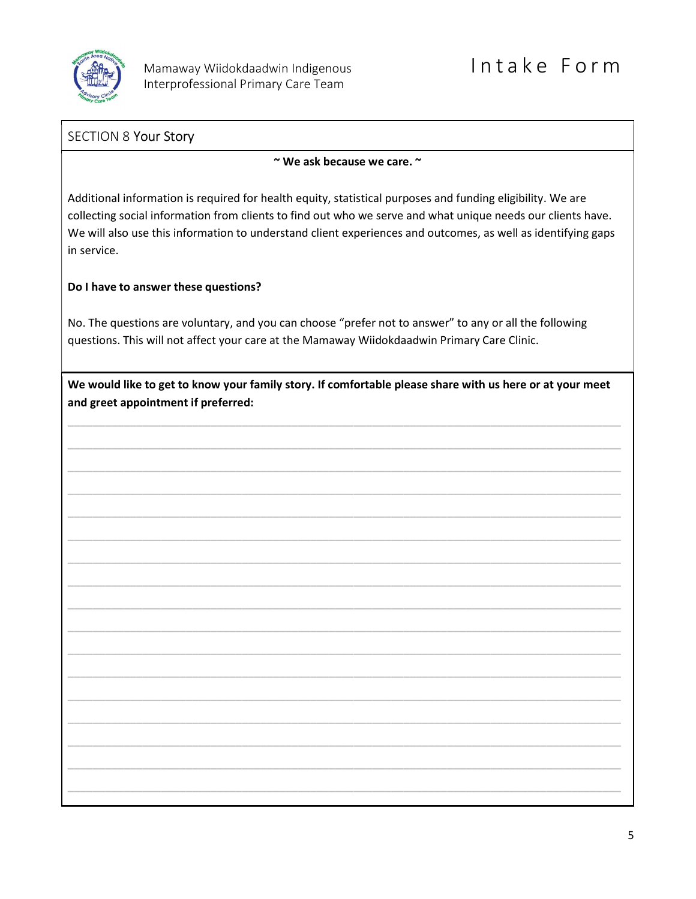

### SECTION 8 Your Story

~ We ask because we care. ~

Additional information is required for health equity, statistical purposes and funding eligibility. We are collecting social information from clients to find out who we serve and what unique needs our clients have. We will also use this information to understand client experiences and outcomes, as well as identifying gaps in service.

### Do I have to answer these questions?

No. The questions are voluntary, and you can choose "prefer not to answer" to any or all the following questions. This will not affect your care at the Mamaway Wiidokdaadwin Primary Care Clinic.

| We would like to get to know your family story. If comfortable please share with us here or at your meet |
|----------------------------------------------------------------------------------------------------------|
| and greet appointment if preferred:                                                                      |

\_\_\_\_\_\_\_\_\_\_\_\_\_\_\_\_\_\_\_\_\_\_\_\_\_\_\_\_\_\_\_\_\_\_\_\_\_\_\_\_\_\_\_\_\_\_\_\_\_\_\_\_\_\_\_\_\_\_\_\_\_\_\_\_\_\_\_\_\_\_\_\_\_\_\_\_\_\_\_\_\_\_\_\_\_\_\_\_\_

\_\_\_\_\_\_\_\_\_\_\_\_\_\_\_\_\_\_\_\_\_\_\_\_\_\_\_\_\_\_\_\_\_\_\_\_\_\_\_\_\_\_\_\_\_\_\_\_\_\_\_\_\_\_\_\_\_\_\_\_\_\_\_\_\_\_\_\_\_\_\_\_\_\_\_\_\_\_\_\_\_\_\_\_\_\_\_\_\_

\_\_\_\_\_\_\_\_\_\_\_\_\_\_\_\_\_\_\_\_\_\_\_\_\_\_\_\_\_\_\_\_\_\_\_\_\_\_\_\_\_\_\_\_\_\_\_\_\_\_\_\_\_\_\_\_\_\_\_\_\_\_\_\_\_\_\_\_\_\_\_\_\_\_\_\_\_\_\_\_\_\_\_\_\_\_\_\_\_

\_\_\_\_\_\_\_\_\_\_\_\_\_\_\_\_\_\_\_\_\_\_\_\_\_\_\_\_\_\_\_\_\_\_\_\_\_\_\_\_\_\_\_\_\_\_\_\_\_\_\_\_\_\_\_\_\_\_\_\_\_\_\_\_\_\_\_\_\_\_\_\_\_\_\_\_\_\_\_\_\_\_\_\_\_\_\_\_\_

\_\_\_\_\_\_\_\_\_\_\_\_\_\_\_\_\_\_\_\_\_\_\_\_\_\_\_\_\_\_\_\_\_\_\_\_\_\_\_\_\_\_\_\_\_\_\_\_\_\_\_\_\_\_\_\_\_\_\_\_\_\_\_\_\_\_\_\_\_\_\_\_\_\_\_\_\_\_\_\_\_\_\_\_\_\_\_\_\_

\_\_\_\_\_\_\_\_\_\_\_\_\_\_\_\_\_\_\_\_\_\_\_\_\_\_\_\_\_\_\_\_\_\_\_\_\_\_\_\_\_\_\_\_\_\_\_\_\_\_\_\_\_\_\_\_\_\_\_\_\_\_\_\_\_\_\_\_\_\_\_\_\_\_\_\_\_\_\_\_\_\_\_\_\_\_\_\_\_

\_\_\_\_\_\_\_\_\_\_\_\_\_\_\_\_\_\_\_\_\_\_\_\_\_\_\_\_\_\_\_\_\_\_\_\_\_\_\_\_\_\_\_\_\_\_\_\_\_\_\_\_\_\_\_\_\_\_\_\_\_\_\_\_\_\_\_\_\_\_\_\_\_\_\_\_\_\_\_\_\_\_\_\_\_\_\_\_\_

\_\_\_\_\_\_\_\_\_\_\_\_\_\_\_\_\_\_\_\_\_\_\_\_\_\_\_\_\_\_\_\_\_\_\_\_\_\_\_\_\_\_\_\_\_\_\_\_\_\_\_\_\_\_\_\_\_\_\_\_\_\_\_\_\_\_\_\_\_\_\_\_\_\_\_\_\_\_\_\_\_\_\_\_\_\_\_\_\_

\_\_\_\_\_\_\_\_\_\_\_\_\_\_\_\_\_\_\_\_\_\_\_\_\_\_\_\_\_\_\_\_\_\_\_\_\_\_\_\_\_\_\_\_\_\_\_\_\_\_\_\_\_\_\_\_\_\_\_\_\_\_\_\_\_\_\_\_\_\_\_\_\_\_\_\_\_\_\_\_\_\_\_\_\_\_\_\_\_

\_\_\_\_\_\_\_\_\_\_\_\_\_\_\_\_\_\_\_\_\_\_\_\_\_\_\_\_\_\_\_\_\_\_\_\_\_\_\_\_\_\_\_\_\_\_\_\_\_\_\_\_\_\_\_\_\_\_\_\_\_\_\_\_\_\_\_\_\_\_\_\_\_\_\_\_\_\_\_\_\_\_\_\_\_\_\_\_\_

\_\_\_\_\_\_\_\_\_\_\_\_\_\_\_\_\_\_\_\_\_\_\_\_\_\_\_\_\_\_\_\_\_\_\_\_\_\_\_\_\_\_\_\_\_\_\_\_\_\_\_\_\_\_\_\_\_\_\_\_\_\_\_\_\_\_\_\_\_\_\_\_\_\_\_\_\_\_\_\_\_\_\_\_\_\_\_\_\_

\_\_\_\_\_\_\_\_\_\_\_\_\_\_\_\_\_\_\_\_\_\_\_\_\_\_\_\_\_\_\_\_\_\_\_\_\_\_\_\_\_\_\_\_\_\_\_\_\_\_\_\_\_\_\_\_\_\_\_\_\_\_\_\_\_\_\_\_\_\_\_\_\_\_\_\_\_\_\_\_\_\_\_\_\_\_\_\_\_

\_\_\_\_\_\_\_\_\_\_\_\_\_\_\_\_\_\_\_\_\_\_\_\_\_\_\_\_\_\_\_\_\_\_\_\_\_\_\_\_\_\_\_\_\_\_\_\_\_\_\_\_\_\_\_\_\_\_\_\_\_\_\_\_\_\_\_\_\_\_\_\_\_\_\_\_\_\_\_\_\_\_\_\_\_\_\_\_\_

\_\_\_\_\_\_\_\_\_\_\_\_\_\_\_\_\_\_\_\_\_\_\_\_\_\_\_\_\_\_\_\_\_\_\_\_\_\_\_\_\_\_\_\_\_\_\_\_\_\_\_\_\_\_\_\_\_\_\_\_\_\_\_\_\_\_\_\_\_\_\_\_\_\_\_\_\_\_\_\_\_\_\_\_\_\_\_\_\_

\_\_\_\_\_\_\_\_\_\_\_\_\_\_\_\_\_\_\_\_\_\_\_\_\_\_\_\_\_\_\_\_\_\_\_\_\_\_\_\_\_\_\_\_\_\_\_\_\_\_\_\_\_\_\_\_\_\_\_\_\_\_\_\_\_\_\_\_\_\_\_\_\_\_\_\_\_\_\_\_\_\_\_\_\_\_\_\_\_

\_\_\_\_\_\_\_\_\_\_\_\_\_\_\_\_\_\_\_\_\_\_\_\_\_\_\_\_\_\_\_\_\_\_\_\_\_\_\_\_\_\_\_\_\_\_\_\_\_\_\_\_\_\_\_\_\_\_\_\_\_\_\_\_\_\_\_\_\_\_\_\_\_\_\_\_\_\_\_\_\_\_\_\_\_\_\_\_\_

\_\_\_\_\_\_\_\_\_\_\_\_\_\_\_\_\_\_\_\_\_\_\_\_\_\_\_\_\_\_\_\_\_\_\_\_\_\_\_\_\_\_\_\_\_\_\_\_\_\_\_\_\_\_\_\_\_\_\_\_\_\_\_\_\_\_\_\_\_\_\_\_\_\_\_\_\_\_\_\_\_\_\_\_\_\_\_\_\_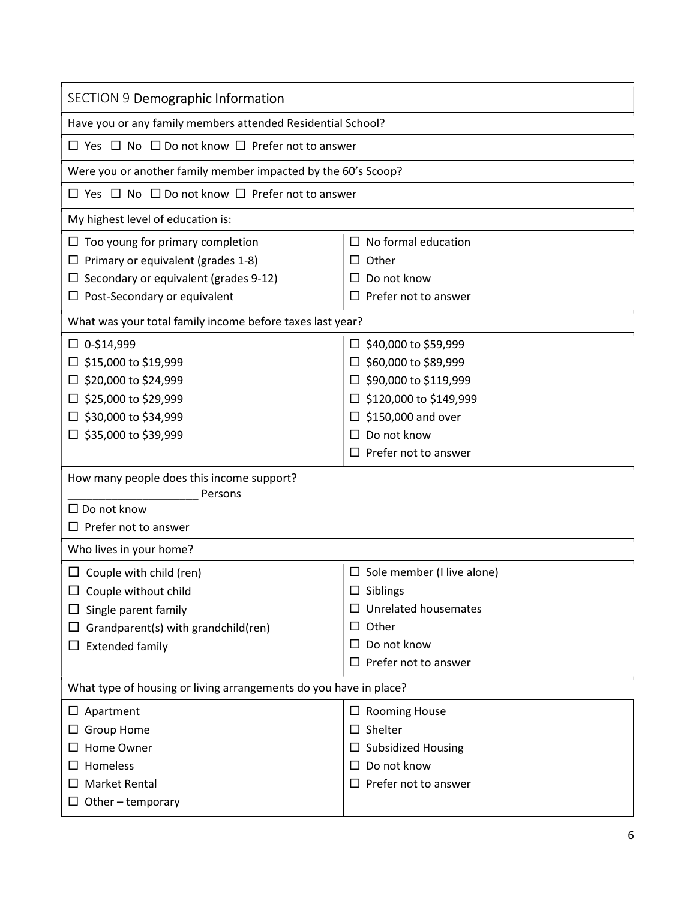| SECTION 9 Demographic Information                                                    |                                                  |
|--------------------------------------------------------------------------------------|--------------------------------------------------|
| Have you or any family members attended Residential School?                          |                                                  |
| $\Box$ Yes $\Box$ No $\Box$ Do not know $\Box$ Prefer not to answer                  |                                                  |
| Were you or another family member impacted by the 60's Scoop?                        |                                                  |
| $\Box$ Yes $\Box$ No $\Box$ Do not know $\Box$ Prefer not to answer                  |                                                  |
| My highest level of education is:                                                    |                                                  |
| $\Box$ Too young for primary completion<br>$\Box$ Primary or equivalent (grades 1-8) | No formal education<br>$\Box$<br>Other<br>$\Box$ |
| Secondary or equivalent (grades 9-12)                                                | Do not know<br>$\Box$                            |
| $\Box$ Post-Secondary or equivalent                                                  | $\square$ Prefer not to answer                   |
| What was your total family income before taxes last year?                            |                                                  |
| $\Box$ 0-\$14,999                                                                    | $\Box$ \$40,000 to \$59,999                      |
| \$15,000 to \$19,999                                                                 | \$60,000 to \$89,999<br>ப                        |
| $\Box$ \$20,000 to \$24,999                                                          | \$90,000 to \$119,999<br>$\Box$                  |
| $\Box$ \$25,000 to \$29,999                                                          | \$120,000 to \$149,999<br>□                      |
| $\Box$ \$30,000 to \$34,999                                                          | \$150,000 and over<br>$\Box$                     |
| $\Box$ \$35,000 to \$39,999                                                          | Do not know<br>$\Box$                            |
|                                                                                      | Prefer not to answer<br>$\Box$                   |
| How many people does this income support?                                            |                                                  |
| Persons<br>$\Box$ Do not know                                                        |                                                  |
| $\Box$ Prefer not to answer                                                          |                                                  |
| Who lives in your home?                                                              |                                                  |
| $\Box$ Couple with child (ren)                                                       | $\square$ Sole member (I live alone)             |
| $\Box$ Couple without child                                                          | $\square$ Siblings                               |
| $\Box$ Single parent family                                                          | $\Box$ Unrelated housemates                      |
| Grandparent(s) with grandchild(ren)                                                  | Other<br>$\Box$                                  |
| $\Box$ Extended family                                                               | $\Box$ Do not know                               |
|                                                                                      | $\Box$ Prefer not to answer                      |
| What type of housing or living arrangements do you have in place?                    |                                                  |
| $\Box$ Apartment                                                                     | $\Box$ Rooming House                             |
| $\Box$ Group Home                                                                    | $\square$ Shelter                                |
| Home Owner                                                                           | $\Box$ Subsidized Housing                        |
| Homeless                                                                             | Do not know<br>$\Box$                            |
| <b>Market Rental</b>                                                                 | Prefer not to answer<br>$\Box$                   |
| $\Box$ Other – temporary                                                             |                                                  |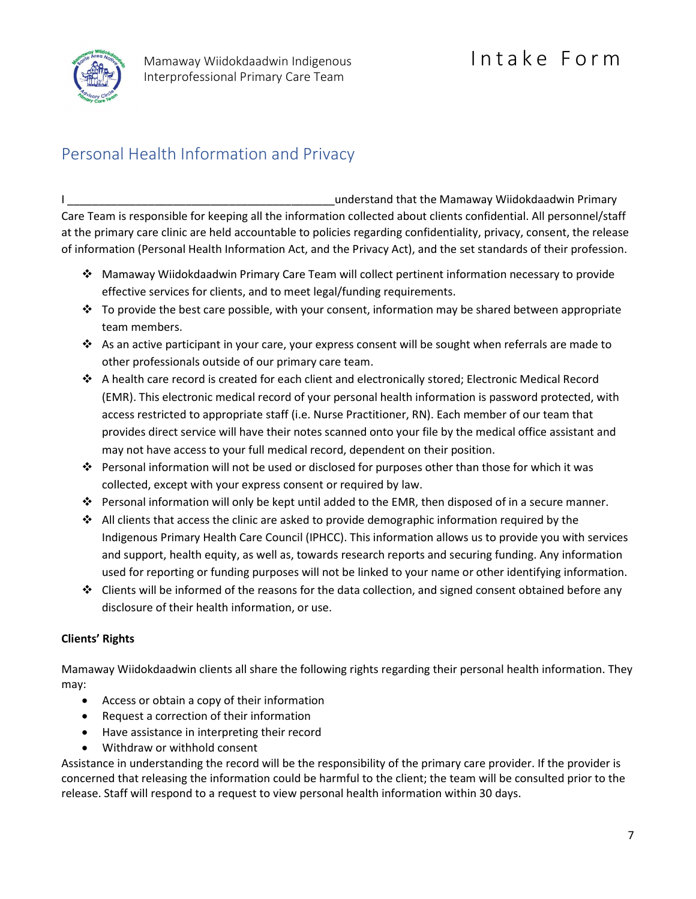

# Personal Health Information and Privacy

I \_\_\_\_\_\_\_\_\_\_\_\_\_\_\_\_\_\_\_\_\_\_\_\_\_\_\_\_\_\_\_\_\_\_\_\_\_\_\_\_\_\_\_understand that the Mamaway Wiidokdaadwin Primary Care Team is responsible for keeping all the information collected about clients confidential. All personnel/staff at the primary care clinic are held accountable to policies regarding confidentiality, privacy, consent, the release of information (Personal Health Information Act, and the Privacy Act), and the set standards of their profession.

- Mamaway Wiidokdaadwin Primary Care Team will collect pertinent information necessary to provide effective services for clients, and to meet legal/funding requirements.
- $\cdot \cdot$  To provide the best care possible, with your consent, information may be shared between appropriate team members.
- $\cdot \cdot$  As an active participant in your care, your express consent will be sought when referrals are made to other professionals outside of our primary care team.
- A health care record is created for each client and electronically stored; Electronic Medical Record (EMR). This electronic medical record of your personal health information is password protected, with access restricted to appropriate staff (i.e. Nurse Practitioner, RN). Each member of our team that provides direct service will have their notes scanned onto your file by the medical office assistant and may not have access to your full medical record, dependent on their position.
- Personal information will not be used or disclosed for purposes other than those for which it was collected, except with your express consent or required by law.
- **Personal information will only be kept until added to the EMR, then disposed of in a secure manner.**
- $\cdot$  All clients that access the clinic are asked to provide demographic information required by the Indigenous Primary Health Care Council (IPHCC). This information allows us to provide you with services and support, health equity, as well as, towards research reports and securing funding. Any information used for reporting or funding purposes will not be linked to your name or other identifying information.
- $\cdot \cdot$  Clients will be informed of the reasons for the data collection, and signed consent obtained before any disclosure of their health information, or use.

### Clients' Rights

Mamaway Wiidokdaadwin clients all share the following rights regarding their personal health information. They may:

- Access or obtain a copy of their information
- Request a correction of their information
- Have assistance in interpreting their record
- Withdraw or withhold consent

Assistance in understanding the record will be the responsibility of the primary care provider. If the provider is concerned that releasing the information could be harmful to the client; the team will be consulted prior to the release. Staff will respond to a request to view personal health information within 30 days.